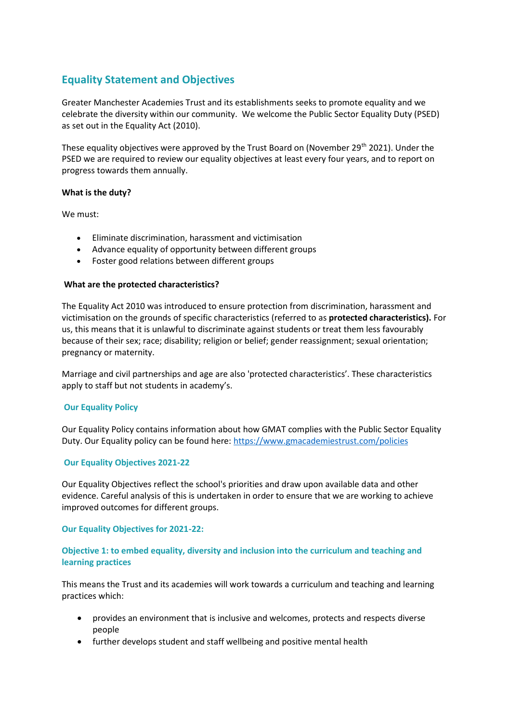# **Equality Statement and Objectives**

Greater Manchester Academies Trust and its establishments seeks to promote equality and we celebrate the diversity within our community. We welcome the Public Sector Equality Duty (PSED) as set out in the Equality Act (2010).

These equality objectives were approved by the Trust Board on (November 29<sup>th</sup> 2021). Under the PSED we are required to review our equality objectives at least every four years, and to report on progress towards them annually.

#### **What is the duty?**

We must:

- Eliminate discrimination, harassment and victimisation
- Advance equality of opportunity between different groups
- Foster good relations between different groups

#### **What are the protected characteristics?**

The Equality Act 2010 was introduced to ensure protection from discrimination, harassment and victimisation on the grounds of specific characteristics (referred to as **protected characteristics).** For us, this means that it is unlawful to discriminate against students or treat them less favourably because of their sex; race; disability; religion or belief; gender reassignment; sexual orientation; pregnancy or maternity.

Marriage and civil partnerships and age are also 'protected characteristics'. These characteristics apply to staff but not students in academy's.

#### **Our Equality Policy**

Our Equality Policy contains information about how GMAT complies with the Public Sector Equality Duty. Our Equality policy can be found here:<https://www.gmacademiestrust.com/policies>

#### **Our Equality Objectives 2021-22**

Our Equality Objectives reflect the school's priorities and draw upon available data and other evidence. Careful analysis of this is undertaken in order to ensure that we are working to achieve improved outcomes for different groups.

#### **Our Equality Objectives for 2021-22:**

### **Objective 1: to embed equality, diversity and inclusion into the curriculum and teaching and learning practices**

This means the Trust and its academies will work towards a curriculum and teaching and learning practices which:

- provides an environment that is inclusive and welcomes, protects and respects diverse people
- further develops student and staff wellbeing and positive mental health